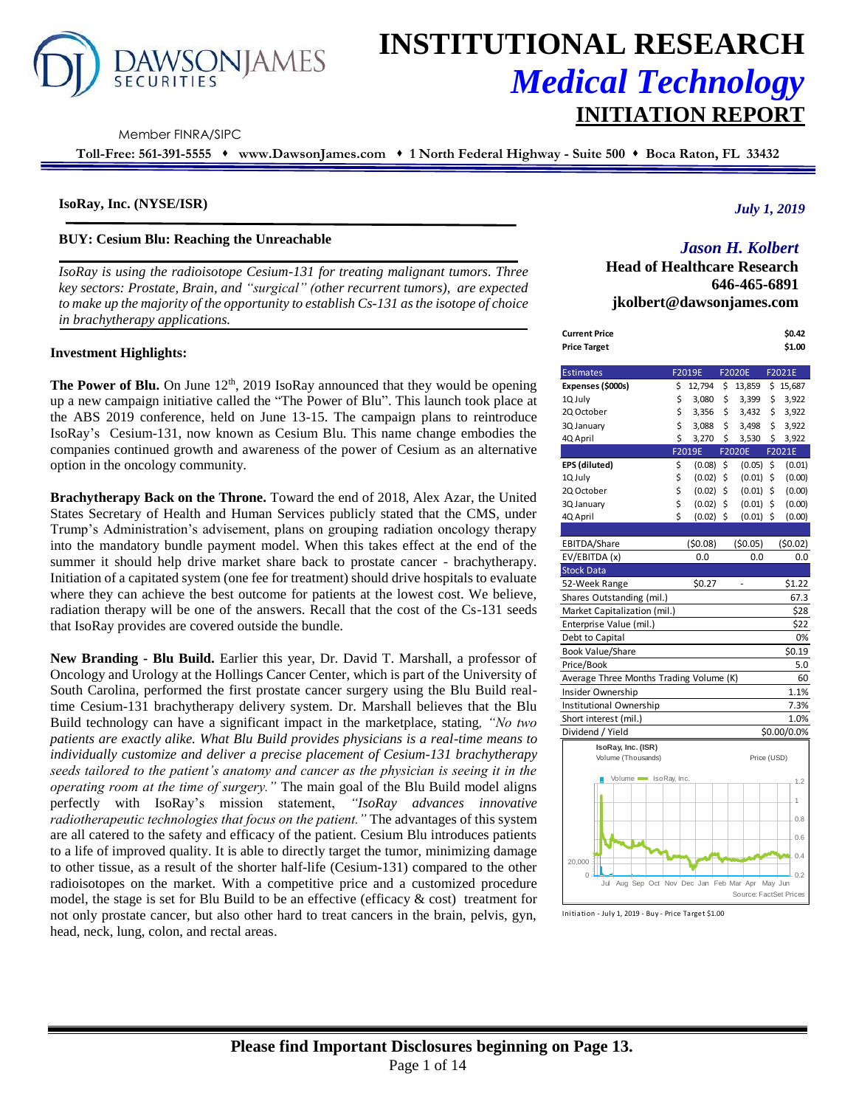

# **INSTITUTIONAL RESEARCH** *Medical Technology* **INITIATION REPORT**

Member FINRA/SIPC

**Toll-Free: 561-391-5555** ⬧ **www.DawsonJames.com** ⬧ **1 North Federal Highway - Suite 500** ⬧ **Boca Raton, FL 33432**

#### **IsoRay, Inc. (NYSE/ISR)**

#### **BUY: Cesium Blu: Reaching the Unreachable**

*IsoRay is using the radioisotope Cesium-131 for treating malignant tumors. Three key sectors: Prostate, Brain, and "surgical" (other recurrent tumors), are expected to make up the majority of the opportunity to establish Cs-131 as the isotope of choice in brachytherapy applications.* 

## **Investment Highlights:**

The Power of Blu. On June 12<sup>th</sup>, 2019 IsoRay announced that they would be opening up a new campaign initiative called the "The Power of Blu". This launch took place at the ABS 2019 conference, held on June 13-15. The campaign plans to reintroduce IsoRay's Cesium-131, now known as Cesium Blu. This name change embodies the companies continued growth and awareness of the power of Cesium as an alternative option in the oncology community.

**Brachytherapy Back on the Throne.** Toward the end of 2018, Alex Azar, the United States Secretary of Health and Human Services publicly stated that the CMS, under Trump's Administration's advisement, plans on grouping radiation oncology therapy into the mandatory bundle payment model. When this takes effect at the end of the summer it should help drive market share back to prostate cancer - brachytherapy. Initiation of a capitated system (one fee for treatment) should drive hospitals to evaluate where they can achieve the best outcome for patients at the lowest cost. We believe, radiation therapy will be one of the answers. Recall that the cost of the Cs-131 seeds that IsoRay provides are covered outside the bundle.

**New Branding - Blu Build.** Earlier this year, Dr. David T. Marshall, a professor of Oncology and Urology at the Hollings Cancer Center, which is part of the University of South Carolina, performed the first prostate cancer surgery using the Blu Build realtime Cesium-131 brachytherapy delivery system. Dr. Marshall believes that the Blu Build technology can have a significant impact in the marketplace, stating*, "No two patients are exactly alike. What Blu Build provides physicians is a real-time means to individually customize and deliver a precise placement of Cesium-131 brachytherapy seeds tailored to the patient's anatomy and cancer as the physician is seeing it in the operating room at the time of surgery."* The main goal of the Blu Build model aligns perfectly with IsoRay's mission statement, *"IsoRay advances innovative radiotherapeutic technologies that focus on the patient."* The advantages of this system are all catered to the safety and efficacy of the patient. Cesium Blu introduces patients to a life of improved quality. It is able to directly target the tumor, minimizing damage to other tissue, as a result of the shorter half-life (Cesium-131) compared to the other radioisotopes on the market. With a competitive price and a customized procedure model, the stage is set for Blu Build to be an effective (efficacy  $\&$  cost) treatment for not only prostate cancer, but also other hard to treat cancers in the brain, pelvis, gyn, head, neck, lung, colon, and rectal areas.

#### *July 1, 2019*

# *Jason H. Kolbert*

**Head of Healthcare Research 646-465-6891 jkolbert@dawsonjames.com**

| <b>Current Price</b>                                   |    |         |    |                        |         | \$0.42              |
|--------------------------------------------------------|----|---------|----|------------------------|---------|---------------------|
| <b>Price Target</b>                                    |    |         |    |                        |         | \$1.00              |
| <b>Estimates</b>                                       |    | F2019E  |    | F2020E                 |         | F2021E              |
| Expenses (\$000s)                                      | \$ | 12,794  | \$ | 13,859                 | \$      | 15,687              |
| 1Q July                                                | \$ | 3,080   | \$ | 3,399                  | \$      | 3,922               |
| 2Q October                                             | \$ | 3,356   | \$ | 3,432                  | \$      | 3,922               |
| 3Q January                                             | \$ | 3,088   | \$ | 3,498                  | \$      | 3,922               |
| 4Q April                                               | \$ | 3,270   | Ś  | 3,530                  | \$      | 3,922               |
|                                                        |    | F2019E  |    | F2020E                 |         | F <sub>20</sub> 21E |
| EPS (diluted)                                          | \$ | (0.08)  | \$ | (0.05)                 | \$      | (0.01)              |
| 1Q July                                                | \$ | (0.02)  | \$ | (0.01)                 | \$      | (0.00)              |
| 2Q October                                             | \$ | (0.02)  | \$ | (0.01)                 | \$      | (0.00)              |
| 3Q January                                             | \$ | (0.02)  | \$ | (0.01)                 | \$      | (0.00)              |
| 4Q April                                               | Ś  | (0.02)  | \$ | (0.01)                 | \$      | (0.00)              |
|                                                        |    |         |    |                        |         |                     |
| EBITDA/Share                                           |    | (50.08) |    | (50.05)                |         | (50.02)             |
| EV/EBITDA (x)                                          |    | 0.0     |    | 0.0                    |         | 0.0                 |
| <b>Stock Data</b>                                      |    |         |    |                        |         |                     |
| 52-Week Range                                          |    | \$0.27  |    |                        |         | \$1.22              |
| Shares Outstanding (mil.)                              |    |         |    |                        |         | 67.3                |
| Market Capitalization (mil.)                           |    |         |    |                        |         | \$28                |
| Enterprise Value (mil.)                                |    |         |    |                        |         | \$22                |
| Debt to Capital                                        |    |         |    |                        |         | 0%                  |
| Book Value/Share                                       |    |         |    |                        |         | \$0.19              |
| Price/Book                                             |    |         |    |                        |         | 5.0                 |
| Average Three Months Trading Volume (K)                |    |         |    |                        |         | 60                  |
| Insider Ownership                                      |    |         |    |                        |         | 1.1%                |
| Institutional Ownership                                |    |         |    |                        |         | 7.3%                |
| Short interest (mil.)                                  |    |         |    |                        |         | 1.0%                |
| Dividend / Yield                                       |    |         |    |                        |         | \$0.00/0.0%         |
| IsoRay, Inc. (ISR)                                     |    |         |    |                        |         |                     |
| Volume (Thousands)                                     |    |         |    | Price (USD)            |         |                     |
|                                                        |    |         |    |                        |         |                     |
| Volume SoRay, Inc.                                     |    |         |    |                        |         | 1.2                 |
|                                                        |    |         |    |                        |         | 1                   |
|                                                        |    |         |    |                        |         |                     |
|                                                        |    |         |    |                        |         | 0.8                 |
|                                                        |    |         |    |                        |         | 0.6                 |
|                                                        |    |         |    |                        |         |                     |
| 20,000                                                 |    |         |    |                        |         | 0.4                 |
| $\Omega$<br>Aug Sep Oct Nov Dec Jan Feb Mar Apr<br>Jul |    |         |    |                        | May Jun | $-0.2$              |
|                                                        |    |         |    | Source: FactSet Prices |         |                     |
|                                                        |    |         |    |                        |         |                     |

Initiation - July 1, 2019 - Buy - Price Target \$1.00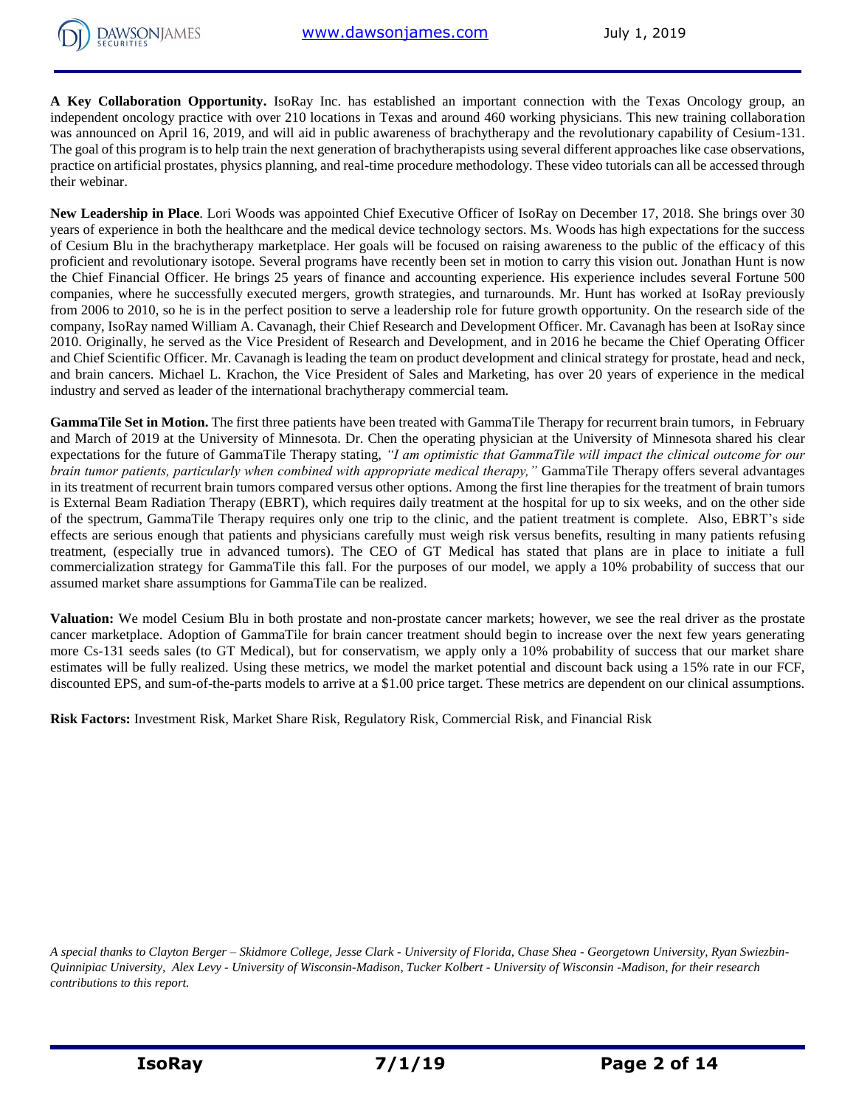**A Key Collaboration Opportunity.** IsoRay Inc. has established an important connection with the Texas Oncology group, an independent oncology practice with over 210 locations in Texas and around 460 working physicians. This new training collaboration was announced on April 16, 2019, and will aid in public awareness of brachytherapy and the revolutionary capability of Cesium-131. The goal of this program is to help train the next generation of brachytherapists using several different approaches like case observations, practice on artificial prostates, physics planning, and real-time procedure methodology. These video tutorials can all be accessed through their webinar.

**New Leadership in Place**. Lori Woods was appointed Chief Executive Officer of IsoRay on December 17, 2018. She brings over 30 years of experience in both the healthcare and the medical device technology sectors. Ms. Woods has high expectations for the success of Cesium Blu in the brachytherapy marketplace. Her goals will be focused on raising awareness to the public of the efficacy of this proficient and revolutionary isotope. Several programs have recently been set in motion to carry this vision out. Jonathan Hunt is now the Chief Financial Officer. He brings 25 years of finance and accounting experience. His experience includes several Fortune 500 companies, where he successfully executed mergers, growth strategies, and turnarounds. Mr. Hunt has worked at IsoRay previously from 2006 to 2010, so he is in the perfect position to serve a leadership role for future growth opportunity. On the research side of the company, IsoRay named William A. Cavanagh, their Chief Research and Development Officer. Mr. Cavanagh has been at IsoRay since 2010. Originally, he served as the Vice President of Research and Development, and in 2016 he became the Chief Operating Officer and Chief Scientific Officer. Mr. Cavanagh is leading the team on product development and clinical strategy for prostate, head and neck, and brain cancers. Michael L. Krachon, the Vice President of Sales and Marketing, has over 20 years of experience in the medical industry and served as leader of the international brachytherapy commercial team.

**GammaTile Set in Motion.** The first three patients have been treated with GammaTile Therapy for recurrent brain tumors, in February and March of 2019 at the University of Minnesota. Dr. Chen the operating physician at the University of Minnesota shared his clear expectations for the future of GammaTile Therapy stating, *"I am optimistic that GammaTile will impact the clinical outcome for our brain tumor patients, particularly when combined with appropriate medical therapy,"* GammaTile Therapy offers several advantages in its treatment of recurrent brain tumors compared versus other options. Among the first line therapies for the treatment of brain tumors is External Beam Radiation Therapy (EBRT), which requires daily treatment at the hospital for up to six weeks, and on the other side of the spectrum, GammaTile Therapy requires only one trip to the clinic, and the patient treatment is complete. Also, EBRT's side effects are serious enough that patients and physicians carefully must weigh risk versus benefits, resulting in many patients refusing treatment, (especially true in advanced tumors). The CEO of GT Medical has stated that plans are in place to initiate a full commercialization strategy for GammaTile this fall. For the purposes of our model, we apply a 10% probability of success that our assumed market share assumptions for GammaTile can be realized.

**Valuation:** We model Cesium Blu in both prostate and non-prostate cancer markets; however, we see the real driver as the prostate cancer marketplace. Adoption of GammaTile for brain cancer treatment should begin to increase over the next few years generating more Cs-131 seeds sales (to GT Medical), but for conservatism, we apply only a 10% probability of success that our market share estimates will be fully realized. Using these metrics, we model the market potential and discount back using a 15% rate in our FCF, discounted EPS, and sum-of-the-parts models to arrive at a \$1.00 price target. These metrics are dependent on our clinical assumptions.

**Risk Factors:** Investment Risk, Market Share Risk, Regulatory Risk, Commercial Risk, and Financial Risk

*A special thanks to Clayton Berger – Skidmore College, Jesse Clark - University of Florida, Chase Shea - Georgetown University, Ryan Swiezbin-Quinnipiac University, Alex Levy - University of Wisconsin-Madison, Tucker Kolbert - University of Wisconsin -Madison, for their research contributions to this report.*

**DAWSONJAMES**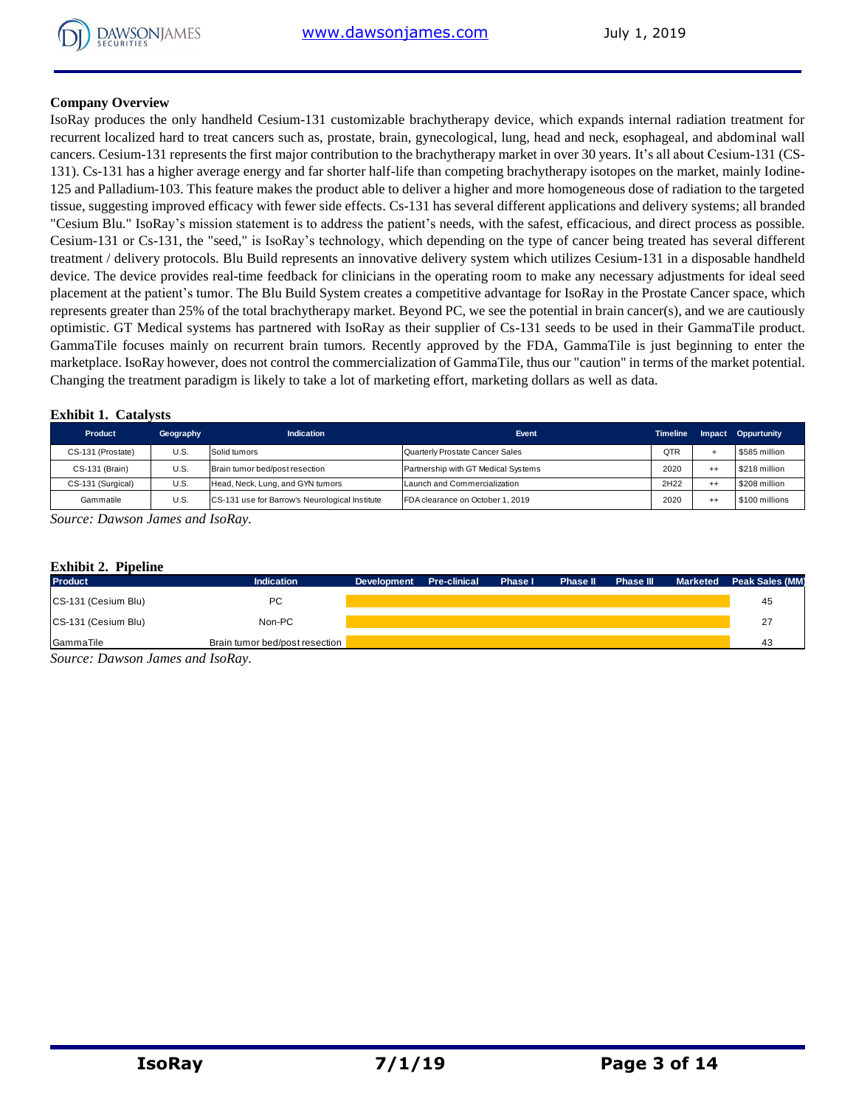

#### **Company Overview**

IsoRay produces the only handheld Cesium-131 customizable brachytherapy device, which expands internal radiation treatment for recurrent localized hard to treat cancers such as, prostate, brain, gynecological, lung, head and neck, esophageal, and abdominal wall cancers. Cesium-131 represents the first major contribution to the brachytherapy market in over 30 years. It's all about Cesium-131 (CS-131). Cs-131 has a higher average energy and far shorter half-life than competing brachytherapy isotopes on the market, mainly Iodine-125 and Palladium-103. This feature makes the product able to deliver a higher and more homogeneous dose of radiation to the targeted tissue, suggesting improved efficacy with fewer side effects. Cs-131 has several different applications and delivery systems; all branded "Cesium Blu." IsoRay's mission statement is to address the patient's needs, with the safest, efficacious, and direct process as possible. Cesium-131 or Cs-131, the "seed," is IsoRay's technology, which depending on the type of cancer being treated has several different treatment / delivery protocols. Blu Build represents an innovative delivery system which utilizes Cesium-131 in a disposable handheld device. The device provides real-time feedback for clinicians in the operating room to make any necessary adjustments for ideal seed placement at the patient's tumor. The Blu Build System creates a competitive advantage for IsoRay in the Prostate Cancer space, which represents greater than 25% of the total brachytherapy market. Beyond PC, we see the potential in brain cancer(s), and we are cautiously optimistic. GT Medical systems has partnered with IsoRay as their supplier of Cs-131 seeds to be used in their GammaTile product. GammaTile focuses mainly on recurrent brain tumors. Recently approved by the FDA, GammaTile is just beginning to enter the marketplace. IsoRay however, does not control the commercialization of GammaTile, thus our "caution" in terms of the market potential. Changing the treatment paradigm is likely to take a lot of marketing effort, marketing dollars as well as data.

#### **Exhibit 1. Catalysts**

| Product           | Geography | <b>Indication</b>                              | Event                               | <b>Timeline</b> |         | <b>Impact Oppurtunity</b> |
|-------------------|-----------|------------------------------------------------|-------------------------------------|-----------------|---------|---------------------------|
| CS-131 (Prostate) | U.S       | Solid tumors                                   | Quarterly Prostate Cancer Sales     | QTR             |         | \$585 million             |
| CS-131 (Brain)    | U.S       | Brain tumor bed/post resection                 | Partnership with GT Medical Systems | 2020            | $^{++}$ | \$218 million             |
| CS-131 (Surgical) | U.S.      | Head, Neck, Lung, and GYN tumors               | Launch and Commercialization        | 2H22            | $^{++}$ | \$208 million             |
| Gammatile         | U.S       | CS-131 use for Barrow's Neurological Institute | FDA clearance on October 1, 2019    | 2020            | $^{++}$ | \$100 millions            |

*Source: Dawson James and IsoRay.* 

#### **Exhibit 2. Pipeline**

| <b>Exhibit 2. Pipeline</b>       |                                |                    |                     |         |                 |                  |                 |                        |
|----------------------------------|--------------------------------|--------------------|---------------------|---------|-----------------|------------------|-----------------|------------------------|
| Product                          | <b>Indication</b>              | <b>Development</b> | <b>Pre-clinical</b> | Phase I | <b>Phase II</b> | <b>Phase III</b> | <b>Marketed</b> | <b>Peak Sales (MM)</b> |
| CS-131 (Cesium Blu)              | PC                             |                    |                     |         |                 |                  |                 | 45                     |
| CS-131 (Cesium Blu)              | Non-PC                         |                    |                     |         |                 |                  |                 | 27                     |
| GammaTile                        | Brain tumor bed/post resection |                    |                     |         |                 |                  |                 | 43                     |
| Source: Dawson James and IsoRay. |                                |                    |                     |         |                 |                  |                 |                        |

*Source: Dawson James and IsoRay.*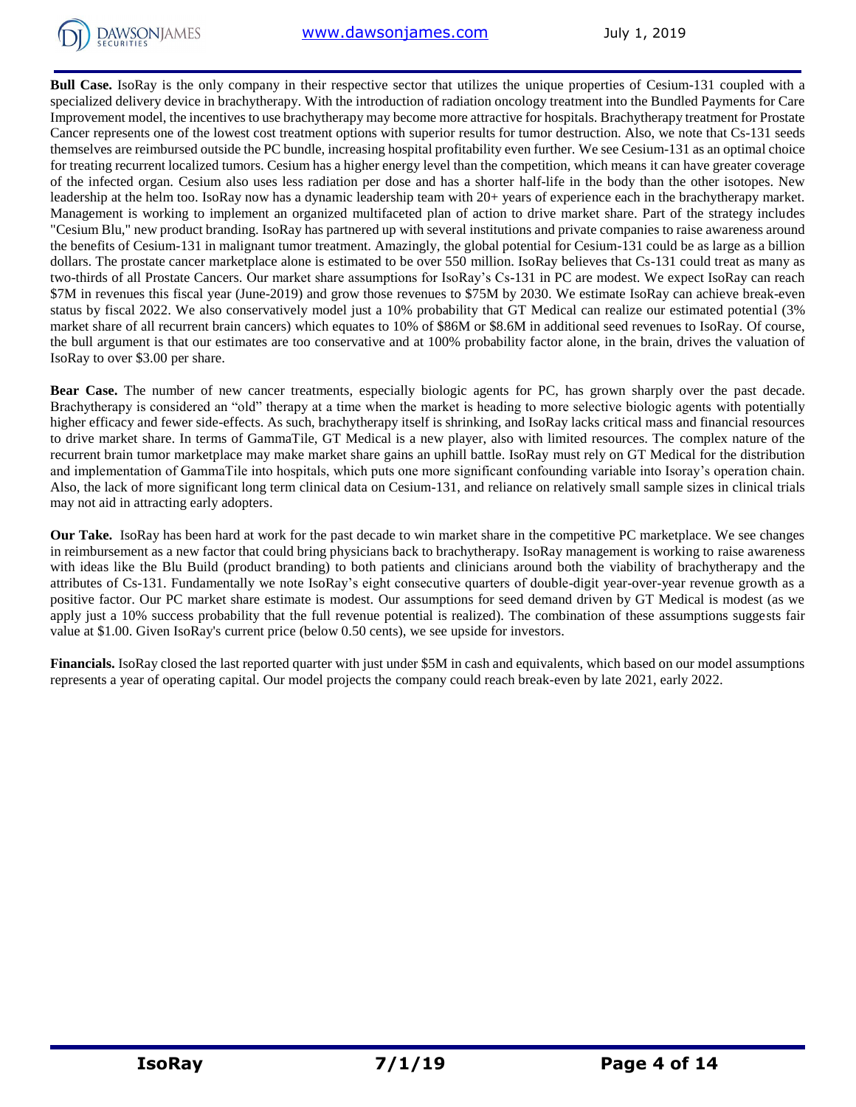

**Bull Case.** IsoRay is the only company in their respective sector that utilizes the unique properties of Cesium-131 coupled with a specialized delivery device in brachytherapy. With the introduction of radiation oncology treatment into the Bundled Payments for Care Improvement model, the incentives to use brachytherapy may become more attractive for hospitals. Brachytherapy treatment for Prostate Cancer represents one of the lowest cost treatment options with superior results for tumor destruction. Also, we note that Cs-131 seeds themselves are reimbursed outside the PC bundle, increasing hospital profitability even further. We see Cesium-131 as an optimal choice for treating recurrent localized tumors. Cesium has a higher energy level than the competition, which means it can have greater coverage of the infected organ. Cesium also uses less radiation per dose and has a shorter half-life in the body than the other isotopes. New leadership at the helm too. IsoRay now has a dynamic leadership team with 20+ years of experience each in the brachytherapy market. Management is working to implement an organized multifaceted plan of action to drive market share. Part of the strategy includes "Cesium Blu," new product branding. IsoRay has partnered up with several institutions and private companies to raise awareness around the benefits of Cesium-131 in malignant tumor treatment. Amazingly, the global potential for Cesium-131 could be as large as a billion dollars. The prostate cancer marketplace alone is estimated to be over 550 million. IsoRay believes that Cs-131 could treat as many as two-thirds of all Prostate Cancers. Our market share assumptions for IsoRay's Cs-131 in PC are modest. We expect IsoRay can reach \$7M in revenues this fiscal year (June-2019) and grow those revenues to \$75M by 2030. We estimate IsoRay can achieve break-even status by fiscal 2022. We also conservatively model just a 10% probability that GT Medical can realize our estimated potential (3% market share of all recurrent brain cancers) which equates to 10% of \$86M or \$8.6M in additional seed revenues to IsoRay. Of course, the bull argument is that our estimates are too conservative and at 100% probability factor alone, in the brain, drives the valuation of IsoRay to over \$3.00 per share.

**Bear Case.** The number of new cancer treatments, especially biologic agents for PC, has grown sharply over the past decade. Brachytherapy is considered an "old" therapy at a time when the market is heading to more selective biologic agents with potentially higher efficacy and fewer side-effects. As such, brachytherapy itself is shrinking, and IsoRay lacks critical mass and financial resources to drive market share. In terms of GammaTile, GT Medical is a new player, also with limited resources. The complex nature of the recurrent brain tumor marketplace may make market share gains an uphill battle. IsoRay must rely on GT Medical for the distribution and implementation of GammaTile into hospitals, which puts one more significant confounding variable into Isoray's operation chain. Also, the lack of more significant long term clinical data on Cesium-131, and reliance on relatively small sample sizes in clinical trials may not aid in attracting early adopters.

**Our Take.** IsoRay has been hard at work for the past decade to win market share in the competitive PC marketplace. We see changes in reimbursement as a new factor that could bring physicians back to brachytherapy. IsoRay management is working to raise awareness with ideas like the Blu Build (product branding) to both patients and clinicians around both the viability of brachytherapy and the attributes of Cs-131. Fundamentally we note IsoRay's eight consecutive quarters of double-digit year-over-year revenue growth as a positive factor. Our PC market share estimate is modest. Our assumptions for seed demand driven by GT Medical is modest (as we apply just a 10% success probability that the full revenue potential is realized). The combination of these assumptions suggests fair value at \$1.00. Given IsoRay's current price (below 0.50 cents), we see upside for investors.

**Financials.** IsoRay closed the last reported quarter with just under \$5M in cash and equivalents, which based on our model assumptions represents a year of operating capital. Our model projects the company could reach break-even by late 2021, early 2022.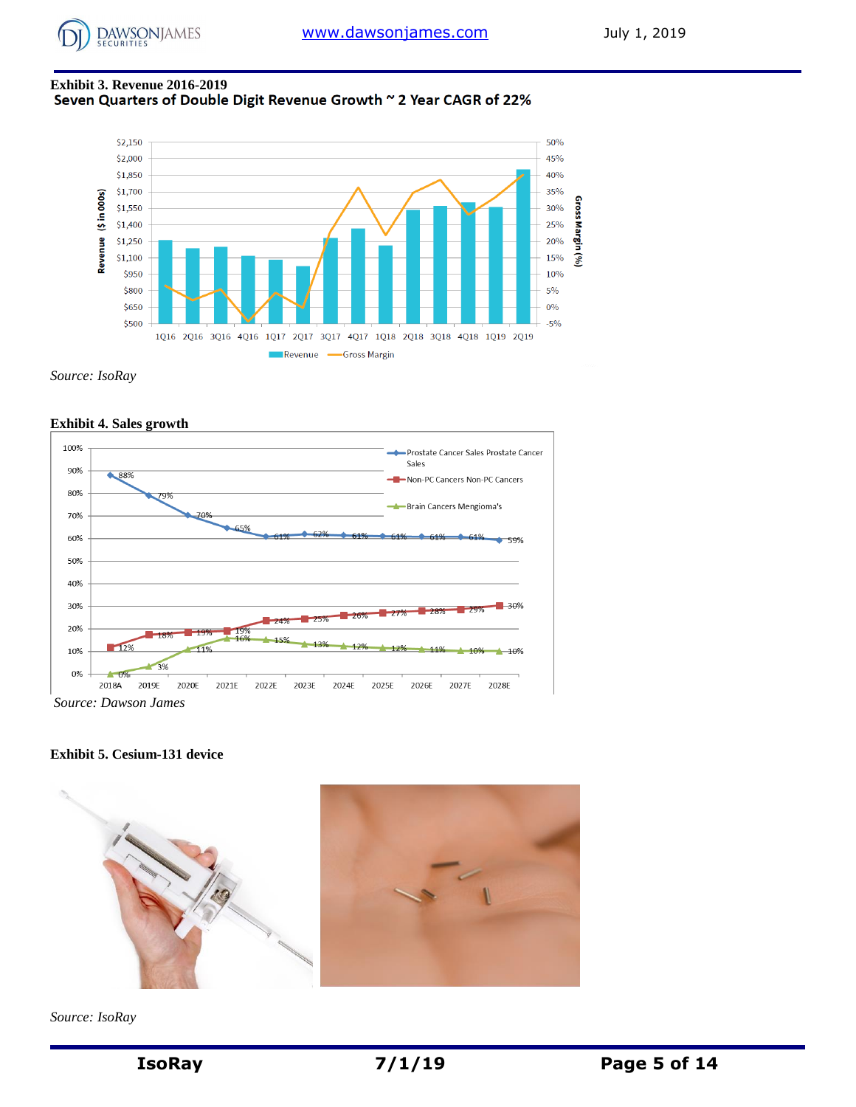

# **Exhibit 3. Revenue 2016-2019**



*Source: IsoRay*



*Source: Dawson James*

**Exhibit 5. Cesium-131 device**



*Source: IsoRay*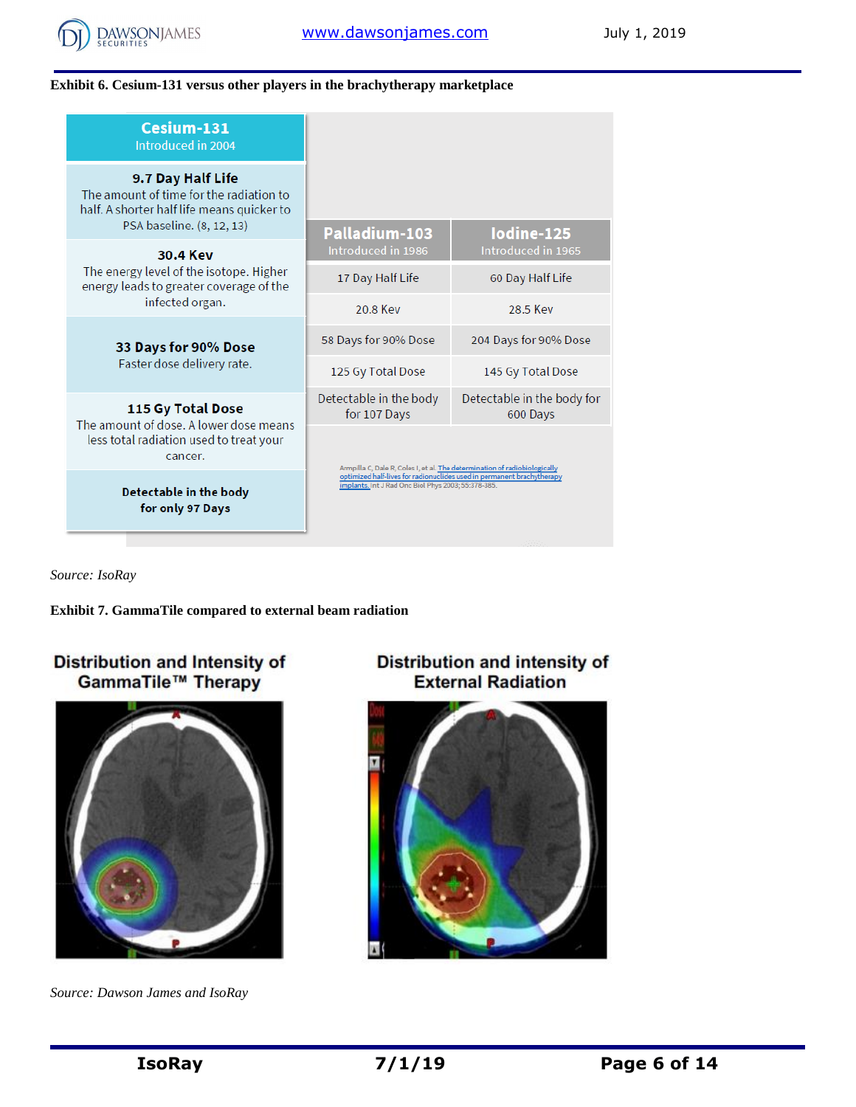

## **Exhibit 6. Cesium-131 versus other players in the brachytherapy marketplace**

| Cesium-131<br>Introduced in 2004                                                                           |                                                                                                                                                                                                             |                                        |  |  |  |
|------------------------------------------------------------------------------------------------------------|-------------------------------------------------------------------------------------------------------------------------------------------------------------------------------------------------------------|----------------------------------------|--|--|--|
| 9.7 Day Half Life<br>The amount of time for the radiation to<br>half. A shorter half life means quicker to |                                                                                                                                                                                                             |                                        |  |  |  |
| PSA baseline. (8, 12, 13)<br>30.4 Key                                                                      | Palladium-103<br>Introduced in 1986                                                                                                                                                                         | lodine-125<br>Introduced in 1965       |  |  |  |
| The energy level of the isotope. Higher<br>energy leads to greater coverage of the                         | 17 Day Half Life                                                                                                                                                                                            | 60 Day Half Life                       |  |  |  |
| infected organ.                                                                                            | 20.8 Key                                                                                                                                                                                                    | 28.5 Key                               |  |  |  |
| 33 Days for 90% Dose                                                                                       | 58 Days for 90% Dose                                                                                                                                                                                        | 204 Days for 90% Dose                  |  |  |  |
| Faster dose delivery rate.                                                                                 | 125 Gy Total Dose                                                                                                                                                                                           | 145 Gy Total Dose                      |  |  |  |
| 115 Gy Total Dose<br>The amount of dose. A lower dose means                                                | Detectable in the body<br>for 107 Days                                                                                                                                                                      | Detectable in the body for<br>600 Days |  |  |  |
| less total radiation used to treat your<br>cancer.                                                         | Armpilla C, Dale R, Coles I, et al. The determination of radiobiologically<br>optimized half-lives for radionuclides used in permanent brachytherapy<br>implants. Int J Rad Onc Biol Phys 2003; 55:378-385. |                                        |  |  |  |
| Detectable in the body<br>for only 97 Days                                                                 |                                                                                                                                                                                                             |                                        |  |  |  |

*Source: IsoRay*

**Exhibit 7. GammaTile compared to external beam radiation**

# Distribution and Intensity of<br>GammaTile™ Therapy



*Source: Dawson James and IsoRay*

# Distribution and intensity of<br>External Radiation

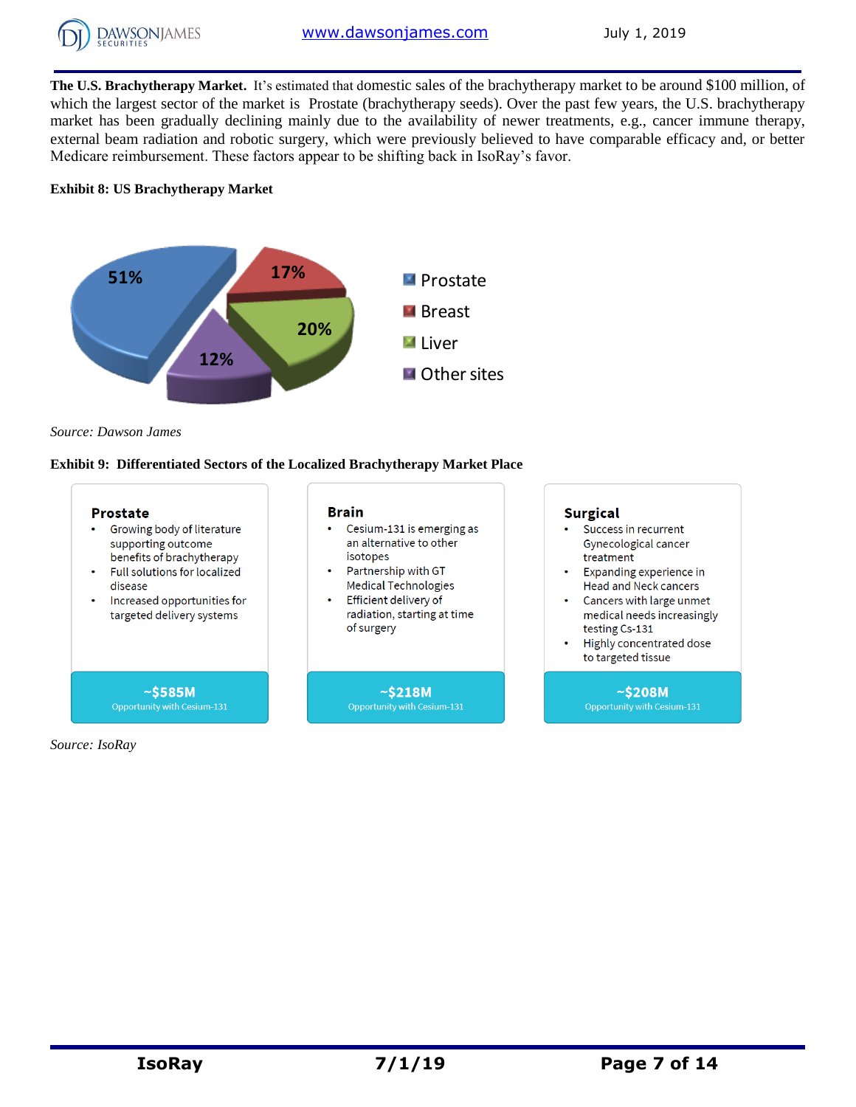

**The U.S. Brachytherapy Market.** It's estimated that domestic sales of the brachytherapy market to be around \$100 million, of which the largest sector of the market is Prostate (brachytherapy seeds). Over the past few years, the U.S. brachytherapy market has been gradually declining mainly due to the availability of newer treatments, e.g., cancer immune therapy, external beam radiation and robotic surgery, which were previously believed to have comparable efficacy and, or better Medicare reimbursement. These factors appear to be shifting back in IsoRay's favor.

## **Exhibit 8: US Brachytherapy Market**



*Source: Dawson James*

#### **Exhibit 9: Differentiated Sectors of the Localized Brachytherapy Market Place**



*Source: IsoRay*

 $~5208M$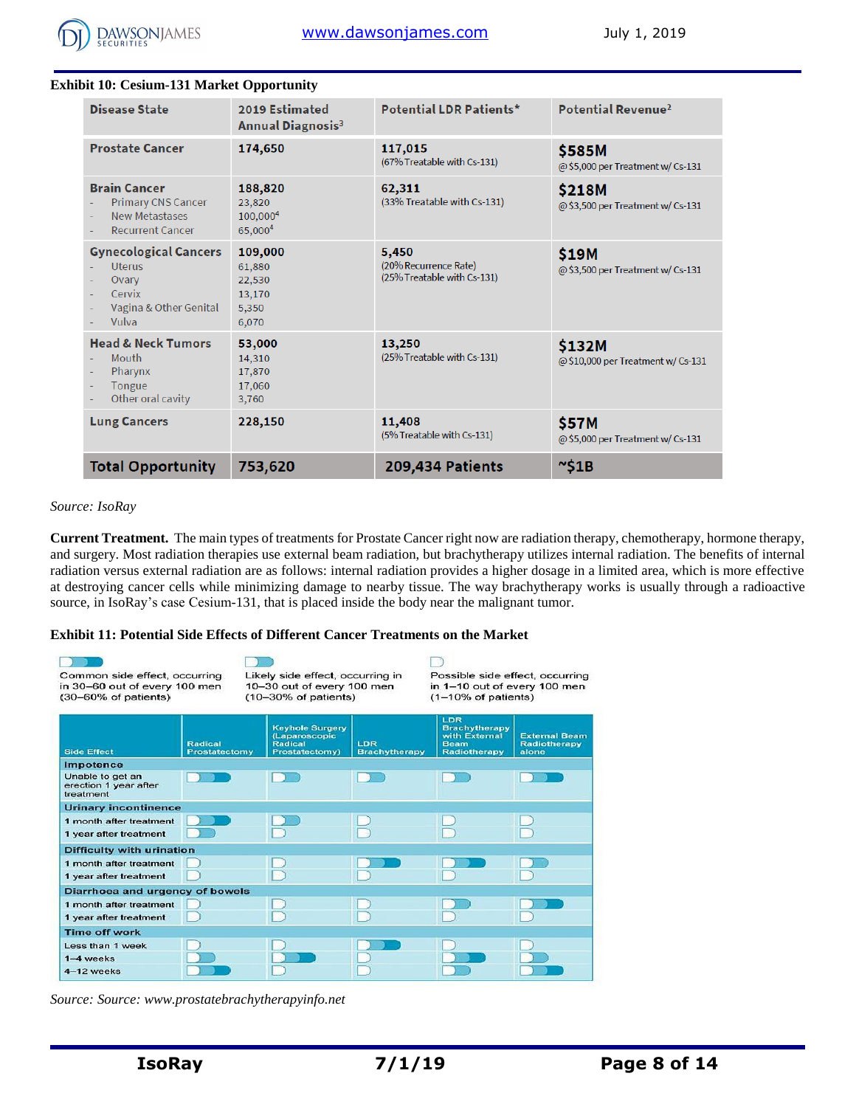

| <b>Exhibit 10: Cesium-131 Market Opportunity</b>                                                     |                                                         |                                                               |                                              |
|------------------------------------------------------------------------------------------------------|---------------------------------------------------------|---------------------------------------------------------------|----------------------------------------------|
| <b>Disease State</b>                                                                                 | 2019 Estimated<br><b>Annual Diagnosis<sup>3</sup></b>   | <b>Potential LDR Patients*</b>                                | Potential Revenue <sup>2</sup>               |
| <b>Prostate Cancer</b>                                                                               | 174,650                                                 | 117,015<br>(67% Treatable with Cs-131)                        | \$585M<br>@ \$5,000 per Treatment w/ Cs-131  |
| <b>Brain Cancer</b><br><b>Primary CNS Cancer</b><br><b>New Metastases</b><br><b>Recurrent Cancer</b> | 188,820<br>23,820<br>100,000 <sup>4</sup><br>65,0004    | 62,311<br>(33% Treatable with Cs-131)                         | \$218M<br>@ \$3,500 per Treatment w/ Cs-131  |
| <b>Gynecological Cancers</b><br><b>Uterus</b><br>Ovary<br>Cervix<br>Vagina & Other Genital<br>Vulva  | 109,000<br>61,880<br>22,530<br>13,170<br>5,350<br>6,070 | 5,450<br>(20% Recurrence Rate)<br>(25% Treatable with Cs-131) | \$19M<br>@ \$3,500 per Treatment w/ Cs-131   |
| <b>Head &amp; Neck Tumors</b><br>Mouth<br>Pharynx<br>Tongue<br>Other oral cavity                     | 53,000<br>14,310<br>17,870<br>17,060<br>3,760           | 13,250<br>(25% Treatable with Cs-131)                         | \$132M<br>@ \$10,000 per Treatment w/ Cs-131 |
| <b>Lung Cancers</b>                                                                                  | 228,150                                                 | 11,408<br>(5% Treatable with Cs-131)                          | \$57M<br>@ \$5,000 per Treatment w/ Cs-131   |
| <b>Total Opportunity</b>                                                                             | 753,620                                                 | <b>209,434 Patients</b>                                       | ~\$1B                                        |

# *Source: IsoRay*

**Current Treatment.** The main types of treatments for Prostate Cancer right now are radiation therapy, chemotherapy, hormone therapy, and surgery. Most radiation therapies use external beam radiation, but brachytherapy utilizes internal radiation. The benefits of internal radiation versus external radiation are as follows: internal radiation provides a higher dosage in a limited area, which is more effective at destroying cancer cells while minimizing damage to nearby tissue. The way brachytherapy works is usually through a radioactive source, in IsoRay's case Cesium-131, that is placed inside the body near the malignant tumor.

#### **Exhibit 11: Potential Side Effects of Different Cancer Treatments on the Market**

| Common side effect, occurring<br>in 30-60 out of every 100 men<br>(30-60% of patients) |                                 | Likely side effect, occurring in<br>10-30 out of every 100 men<br>$(10-30\% \text{ of patients})$ |                             | Possible side effect, occurring<br>in 1-10 out of every 100 men<br>$(1-10\% \text{ of patients})$ |                                               |
|----------------------------------------------------------------------------------------|---------------------------------|---------------------------------------------------------------------------------------------------|-----------------------------|---------------------------------------------------------------------------------------------------|-----------------------------------------------|
| <b>Side Effect</b>                                                                     | <b>Radical</b><br>Prostatectomy | <b>Keyhole Surgery</b><br>(Laparoscopic<br><b>Radical</b><br>Prostatectomy)                       | LDR<br><b>Brachytherapy</b> | <b>LDR</b><br><b>Brachytherapy</b><br>with External<br><b>Beam</b><br>Radiotherapy                | <b>External Beam</b><br>Radiotherapy<br>alone |
| Impotence                                                                              |                                 |                                                                                                   |                             |                                                                                                   |                                               |
| Unable to get an<br>erection 1 year after<br>treatment                                 |                                 |                                                                                                   |                             |                                                                                                   |                                               |
| <b>Urinary incontinence</b>                                                            |                                 |                                                                                                   |                             |                                                                                                   |                                               |
| 1 month after treatment                                                                |                                 |                                                                                                   |                             |                                                                                                   |                                               |
| 1 year after treatment                                                                 |                                 |                                                                                                   |                             |                                                                                                   |                                               |
| <b>Difficulty with urination</b>                                                       |                                 |                                                                                                   |                             |                                                                                                   |                                               |
| 1 month after treatment                                                                |                                 |                                                                                                   |                             |                                                                                                   |                                               |
| 1 year after treatment                                                                 |                                 |                                                                                                   |                             |                                                                                                   |                                               |
| Diarrhoea and urgency of bowels                                                        |                                 |                                                                                                   |                             |                                                                                                   |                                               |
| 1 month after treatment                                                                |                                 |                                                                                                   |                             |                                                                                                   |                                               |
| 1 year after treatment                                                                 |                                 |                                                                                                   |                             |                                                                                                   |                                               |
| <b>Time off work</b>                                                                   |                                 |                                                                                                   |                             |                                                                                                   |                                               |
| Less than 1 week                                                                       |                                 |                                                                                                   |                             |                                                                                                   |                                               |
| 1-4 weeks                                                                              |                                 |                                                                                                   |                             |                                                                                                   |                                               |
| 4-12 weeks                                                                             |                                 |                                                                                                   |                             |                                                                                                   |                                               |

*Source: Source: www.prostatebrachytherapyinfo.net*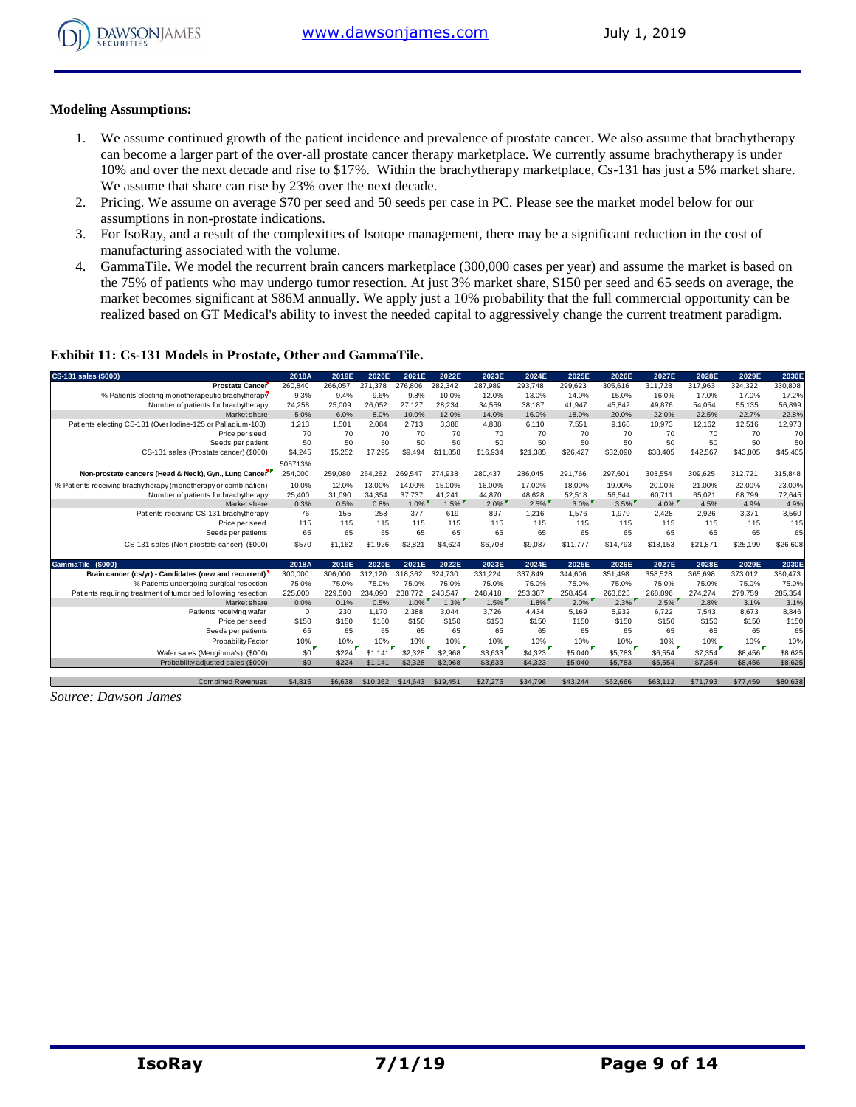

#### **Modeling Assumptions:**

- 1. We assume continued growth of the patient incidence and prevalence of prostate cancer. We also assume that brachytherapy can become a larger part of the over-all prostate cancer therapy marketplace. We currently assume brachytherapy is under 10% and over the next decade and rise to \$17%. Within the brachytherapy marketplace, Cs-131 has just a 5% market share. We assume that share can rise by 23% over the next decade.
- 2. Pricing. We assume on average \$70 per seed and 50 seeds per case in PC. Please see the market model below for our assumptions in non-prostate indications.
- 3. For IsoRay, and a result of the complexities of Isotope management, there may be a significant reduction in the cost of manufacturing associated with the volume.
- 4. GammaTile. We model the recurrent brain cancers marketplace (300,000 cases per year) and assume the market is based on the 75% of patients who may undergo tumor resection. At just 3% market share, \$150 per seed and 65 seeds on average, the market becomes significant at \$86M annually. We apply just a 10% probability that the full commercial opportunity can be realized based on GT Medical's ability to invest the needed capital to aggressively change the current treatment paradigm.

#### **Exhibit 11: Cs-131 Models in Prostate, Other and GammaTile.**

| CS-131 sales (\$000)                                            | 2018A       | 2019E   | 2020E   | 2021E   | 2022E    | 2023E    | 2024E    | 2025E    | 2026E    | 2027E    | 2028E    | 2029E    | 2030E    |
|-----------------------------------------------------------------|-------------|---------|---------|---------|----------|----------|----------|----------|----------|----------|----------|----------|----------|
| <b>Prostate Cancer</b>                                          | 260,840     | 266,057 | 271,378 | 276,806 | 282,342  | 287,989  | 293,748  | 299,623  | 305,616  | 311,728  | 317,963  | 324,322  | 330,808  |
| % Patients electing monotherapeutic brachytherapy               | 9.3%        | 9.4%    | 9.6%    | 9.8%    | 10.0%    | 12.0%    | 13.0%    | 14.0%    | 15.0%    | 16.0%    | 17.0%    | 17.0%    | 17.2%    |
| Number of patients for brachytherapy                            | 24,258      | 25,009  | 26.052  | 27.127  | 28,234   | 34.559   | 38.187   | 41,947   | 45.842   | 49.876   | 54,054   | 55.135   | 56,899   |
| Market share                                                    | 5.0%        | 6.0%    | 8.0%    | 10.0%   | 12.0%    | 14.0%    | 16.0%    | 18.0%    | 20.0%    | 22.0%    | 22.5%    | 22.7%    | 22.8%    |
| Patients electing CS-131 (Over lodine-125 or Palladium-103)     | 1,213       | 1.501   | 2.084   | 2,713   | 3,388    | 4,838    | 6.110    | 7,551    | 9,168    | 10,973   | 12,162   | 12,516   | 12,973   |
| Price per seed                                                  | 70          | 70      | 70      | 70      | 70       | 70       | 70       | 70       | 70       | 70       | 70       | 70       | 70       |
| Seeds per patient                                               | 50          | 50      | 50      | 50      | 50       | 50       | 50       | 50       | 50       | 50       | 50       | 50       | 50       |
| CS-131 sales (Prostate cancer) (\$000)                          | \$4,245     | \$5,252 | \$7,295 | \$9.494 | \$11,858 | \$16,934 | \$21,385 | \$26,427 | \$32,090 | \$38,405 | \$42,567 | \$43,805 | \$45,405 |
|                                                                 | 505713%     |         |         |         |          |          |          |          |          |          |          |          |          |
| Non-prostate cancers (Head & Neck), Gyn., Lung Cancer           | 254,000     | 259.080 | 264,262 | 269.547 | 274,938  | 280,437  | 286.045  | 291.766  | 297,601  | 303,554  | 309,625  | 312,721  | 315,848  |
| % Patients receiving brachytherapy (monotherapy or combination) | 10.0%       | 12.0%   | 13.00%  | 14.00%  | 15.00%   | 16.00%   | 17.00%   | 18.00%   | 19.00%   | 20.00%   | 21.00%   | 22.00%   | 23.00%   |
| Number of patients for brachytherapy                            | 25,400      | 31.090  | 34.354  | 37.737  | 41.241   | 44.870   | 48.628   | 52,518   | 56,544   | 60.711   | 65.021   | 68.799   | 72,645   |
| Market share                                                    | 0.3%        | 0.5%    | 0.8%    | $1.0\%$ | 1.5%     | $2.0\%$  | $2.5\%$  | $3.0\%$  | $3.5\%$  | $4.0\%$  | 4.5%     | 4.9%     | 4.9%     |
| Patients receiving CS-131 brachytherapy                         | 76          | 155     | 258     | 377     | 619      | 897      | 1,216    | 1.576    | 1,979    | 2.428    | 2.926    | 3.371    | 3,560    |
| Price per seed                                                  | 115         | 115     | 115     | 115     | 115      | 115      | 115      | 115      | 115      | 115      | 115      | 115      | 115      |
| Seeds per patients                                              | 65          | 65      | 65      | 65      | 65       | 65       | 65       | 65       | 65       | 65       | 65       | 65       | 65       |
| CS-131 sales (Non-prostate cancer) (\$000)                      | \$570       | \$1,162 | \$1,926 | \$2,821 | \$4,624  | \$6,708  | \$9,087  | \$11,777 | \$14,793 | \$18,153 | \$21.871 | \$25,199 | \$26,608 |
| GammaTile (\$000)                                               | 2018A       | 2019E   | 2020E   | 2021E   | 2022E    | 2023E    | 2024E    | 2025E    | 2026E    | 2027E    | 2028E    | 2029E    | 2030E    |
| Brain cancer (cs/yr) - Candidates (new and recurrent)           | 300,000     | 306,000 | 312,120 | 318,362 | 324.730  | 331,224  | 337.849  | 344,606  | 351,498  | 358,528  | 365,698  | 373,012  | 380,473  |
| % Patients undergoing surgical resection                        | 75.0%       | 75.0%   | 75.0%   | 75.0%   | 75.0%    | 75.0%    | 75.0%    | 75.0%    | 75.0%    | 75.0%    | 75.0%    | 75.0%    | 75.0%    |
| Patients requiring treatment of tumor bed following resection   | 225,000     | 229,500 | 234.090 | 238.772 | 243.547  | 248,418  | 253.387  | 258.454  | 263.623  | 268.896  | 274.274  | 279.759  | 285,354  |
| Market share                                                    | 0.0%        | 0.1%    | 0.5%    | $1.0\%$ | $1.3\%$  | $1.5\%$  | $1.8\%$  | $2.0\%$  | $2.3\%$  | $2.5\%$  | 2.8%     | 3.1%     | 3.1%     |
| Patients receiving wafer                                        | $\mathbf 0$ | 230     | 1.170   | 2,388   | 3,044    | 3,726    | 4,434    | 5.169    | 5,932    | 6,722    | 7.543    | 8.673    | 8,846    |
| Price per seed                                                  | \$150       | \$150   | \$150   | \$150   | \$150    | \$150    | \$150    | \$150    | \$150    | \$150    | \$150    | \$150    | \$150    |
| Seeds per patients                                              | 65          | 65      | 65      | 65      | 65       | 65       | 65       | 65       | 65       | 65       | 65       | 65       | 65       |
| Probability Factor                                              | 10%         | 10%     | 10%     | 10%     | 10%      | 10%      | 10%      | 10%      | 10%      | 10%      | 10%      | 10%      | 10%      |
| Wafer sales (Mengioma's) (\$000)                                | \$0         | \$224   | \$1,141 | \$2,328 | \$2,968  | \$3,633  | \$4,323  | \$5,040  | \$5,783  | \$6,554  | \$7,354  | \$8,456  | \$8,625  |
| Probability adjusted sales (\$000)                              | \$0         | \$224   | \$1,141 | \$2,328 | \$2,968  | \$3,633  | \$4,323  | \$5,040  | \$5,783  | \$6,554  | \$7,354  | \$8,456  | \$8,625  |
|                                                                 |             |         |         |         |          |          |          |          |          |          |          | \$77,459 | \$80,638 |

*Source: Dawson James*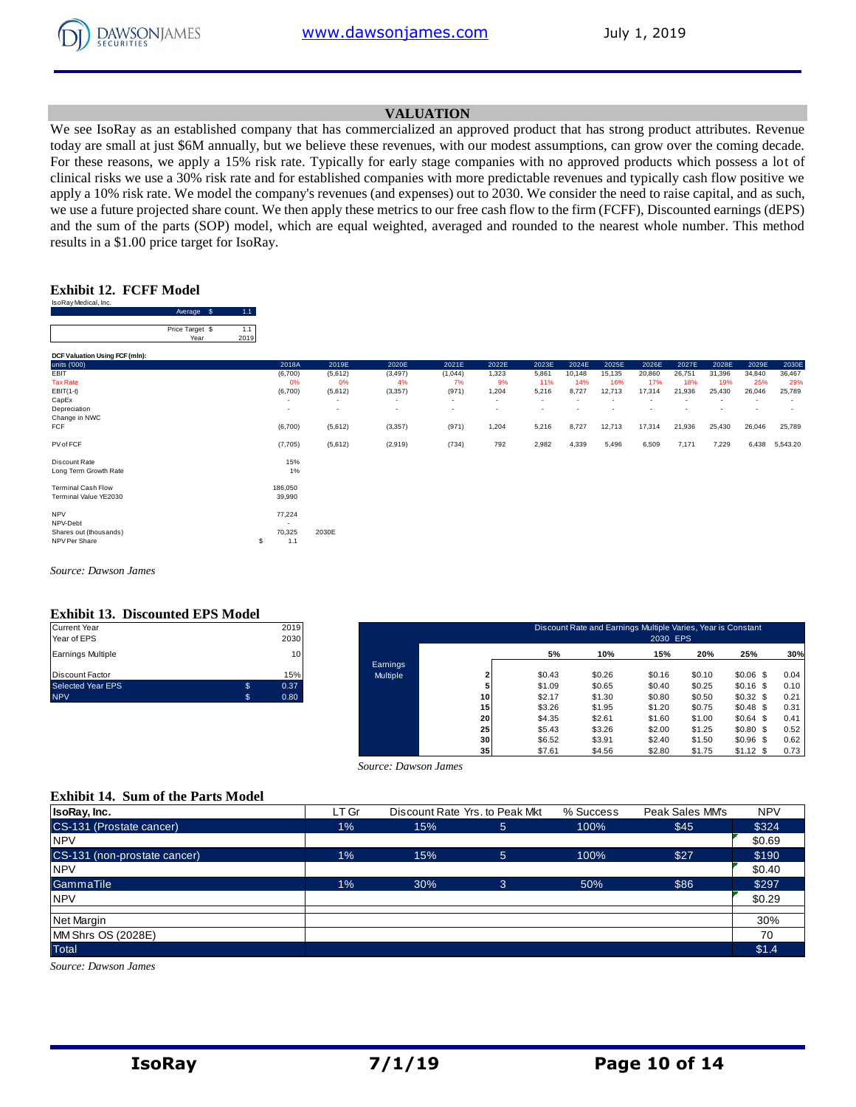

#### **VALUATION**

We see IsoRay as an established company that has commercialized an approved product that has strong product attributes. Revenue today are small at just \$6M annually, but we believe these revenues, with our modest assumptions, can grow over the coming decade. For these reasons, we apply a 15% risk rate. Typically for early stage companies with no approved products which possess a lot of clinical risks we use a 30% risk rate and for established companies with more predictable revenues and typically cash flow positive we apply a 10% risk rate. We model the company's revenues (and expenses) out to 2030. We consider the need to raise capital, and as such, we use a future projected share count. We then apply these metrics to our free cash flow to the firm (FCFF), Discounted earnings (dEPS) and the sum of the parts (SOP) model, which are equal weighted, averaged and rounded to the nearest whole number. This method results in a \$1.00 price target for IsoRay.

#### **Exhibit 12. FCFF Model**

| IsoRay Medical, Inc.           |                         |                        |         |
|--------------------------------|-------------------------|------------------------|---------|
|                                | Average                 | \$<br>1.1 <sub>1</sub> |         |
|                                |                         | 1.1                    |         |
|                                | Price Target \$<br>Year | 2019                   |         |
|                                |                         |                        |         |
| DCF Valuation Using FCF (mln): |                         |                        |         |
| units ('000)                   |                         |                        | 2018A   |
| FBIT                           |                         |                        | (6,700) |
| <b>Tax Rate</b>                |                         |                        | 0%      |
| $EBIT(1-t)$                    |                         |                        | (6,700) |
| CapEx                          |                         |                        | ۰       |
| Depreciation                   |                         |                        |         |
| Change in NWC                  |                         |                        |         |
| <b>FCF</b>                     |                         |                        | (6,700) |
| PV of FCF                      |                         |                        | (7,705) |

|                                                    | Average \$              | (1.1)       |                                     |                                     |                                      |                          |                                   |                                   |               |               |               |               |               |               |               |
|----------------------------------------------------|-------------------------|-------------|-------------------------------------|-------------------------------------|--------------------------------------|--------------------------|-----------------------------------|-----------------------------------|---------------|---------------|---------------|---------------|---------------|---------------|---------------|
|                                                    | Price Target \$<br>Year | 1.1<br>2019 |                                     |                                     |                                      |                          |                                   |                                   |               |               |               |               |               |               |               |
| DCF Valuation Using FCF (mln):                     |                         |             |                                     |                                     |                                      |                          |                                   |                                   |               |               |               |               |               |               |               |
| units ('000)                                       |                         |             | 2018A                               | 2019E                               | 2020E                                | 2021E                    | 2022E                             | 2023E                             | 2024E         | 2025E         | 2026E         | 2027E         | 2028E         | 2029E         | 2030E         |
| EBIT<br><b>Tax Rate</b>                            |                         |             | (6,700)<br>0%                       | (5,612)<br>0%                       | (3, 497)<br>4%                       | (1,044)<br>7%            | 1,323<br>9%                       | 5,861<br>11%                      | 10,148<br>14% | 15,135<br>16% | 20,860<br>17% | 26,751<br>18% | 31,396<br>19% | 34,840<br>25% | 36,467<br>29% |
| $EBIT(1-t)$<br>CapEx                               |                         |             | (6,700)<br>$\overline{\phantom{a}}$ | (5,612)<br>$\overline{\phantom{a}}$ | (3, 357)<br>$\overline{\phantom{a}}$ | (971)<br>$\sim$          | 1,204<br>$\overline{\phantom{a}}$ | 5,216<br>$\overline{\phantom{a}}$ | 8,727         | 12,713        | 17,314        | 21,936        | 25,430        | 26,046        | 25,789        |
| Depreciation<br>Change in NWC                      |                         |             | $\overline{\phantom{a}}$            | $\overline{\phantom{a}}$            | $\overline{\phantom{a}}$             | $\overline{\phantom{a}}$ | $\overline{\phantom{a}}$          | $\overline{\phantom{a}}$          |               |               |               |               |               |               |               |
| FCF                                                |                         |             | (6,700)                             | (5,612)                             | (3, 357)                             | (971)                    | 1,204                             | 5,216                             | 8,727         | 12,713        | 17,314        | 21,936        | 25,430        | 26,046        | 25,789        |
| PV of FCF                                          |                         |             | (7,705)                             | (5,612)                             | (2,919)                              | (734)                    | 792                               | 2,982                             | 4,339         | 5,496         | 6,509         | 7,171         | 7,229         | 6,438         | 5,543.20      |
| Discount Rate<br>Long Term Growth Rate             |                         |             | 15%<br>1%                           |                                     |                                      |                          |                                   |                                   |               |               |               |               |               |               |               |
| <b>Terminal Cash Flow</b><br>Terminal Value YE2030 |                         |             | 186,050<br>39,990                   |                                     |                                      |                          |                                   |                                   |               |               |               |               |               |               |               |
| <b>NPV</b><br>NPV-Debt                             |                         |             | 77,224                              |                                     |                                      |                          |                                   |                                   |               |               |               |               |               |               |               |
| Shares out (thousands)                             |                         |             | 70,325                              | 2030E                               |                                      |                          |                                   |                                   |               |               |               |               |               |               |               |

*Source: Dawson James*

#### **Exhibit 13. Discounted EPS Model**

| <b>NPV</b>               | \$<br>0.80 |
|--------------------------|------------|
| <b>Selected Year EPS</b> | \$<br>0.37 |
| Discount Factor          | 15%        |
| <b>Earnings Multiple</b> | 10         |
| Year of EPS              | 2030       |
| <b>Current Year</b>      | 2019       |

shares out (thousands) 70,325 2030E<br>NPV Per Share (thousands) 70,325 2030E NPV Per Share \$ 1.1

| Current Year<br>Year of EPS |                | 2019<br>2030 |          |    |        | Discount Rate and Earnings Multiple Varies, Year is Constant | 2030 EPS |        |             |      |
|-----------------------------|----------------|--------------|----------|----|--------|--------------------------------------------------------------|----------|--------|-------------|------|
| Earnings Multiple           |                | 10           |          |    | 5%     | 10%                                                          | 15%      | 20%    | 25%         | 30%  |
|                             |                |              | Earnings |    |        |                                                              |          |        |             |      |
| Discount Factor             |                | 15%          | Multiple |    | \$0.43 | \$0.26                                                       | \$0.16   | \$0.10 | $$0.06$$ \$ | 0.04 |
| Selected Year EPS           | $\mathfrak{s}$ | 0.37         |          |    | \$1.09 | \$0.65                                                       | \$0.40   | \$0.25 | $$0.16$ \$  | 0.10 |
| <b>NPV</b>                  |                | 0.80         |          | 10 | \$2.17 | \$1.30                                                       | \$0.80   | \$0.50 | $$0.32$$ \$ | 0.21 |
|                             |                |              |          | 15 | \$3.26 | \$1.95                                                       | \$1.20   | \$0.75 | $$0.48$ \$  | 0.31 |
|                             |                |              |          | 20 | \$4.35 | \$2.61                                                       | \$1.60   | \$1.00 | \$0.64\$    | 0.41 |
|                             |                |              |          | 25 | \$5.43 | \$3.26                                                       | \$2.00   | \$1.25 | $$0.80$$ \$ | 0.52 |
|                             |                |              |          | 30 | \$6.52 | \$3.91                                                       | \$2.40   | \$1.50 | $$0.96$ \$  | 0.62 |
|                             |                |              |          | 35 | \$7.61 | \$4.56                                                       | \$2.80   | \$1.75 | $$1.12$ \$  | 0.73 |

#### **Exhibit 14. Sum of the Parts Model**

|                                           |       | Source: Dawson James           | -- 1        | .         | <br>.           | $ -$       |
|-------------------------------------------|-------|--------------------------------|-------------|-----------|-----------------|------------|
|                                           |       |                                |             |           |                 |            |
| <b>Exhibit 14. Sum of the Parts Model</b> |       |                                |             |           |                 |            |
| IsoRay, Inc.                              | LT Gr | Discount Rate Yrs. to Peak Mkt |             | % Success | Peak Sales MM's | <b>NPV</b> |
| CS-131 (Prostate cancer)                  | 1%    | 15%                            | $\sqrt{5}$  | 100%      | \$45            | \$324      |
| <b>NPV</b>                                |       |                                |             |           |                 | \$0.69     |
| CS-131 (non-prostate cancer)              | 1%    | 15%                            | $5^{\circ}$ | 100%      | \$27            | \$190      |
| <b>NPV</b>                                |       |                                |             |           |                 | \$0.40     |
| GammaTile                                 | 1%    | 30%                            | 3           | 50%       | \$86            | \$297      |
| <b>NPV</b>                                |       |                                |             |           |                 | \$0.29     |
|                                           |       |                                |             |           |                 |            |
| Net Margin                                |       |                                |             |           |                 | 30%        |
| MM Shrs OS (2028E)                        |       |                                |             |           |                 | 70         |
| <b>Total</b>                              |       |                                |             |           |                 | \$1.4      |

*Source: Dawson James*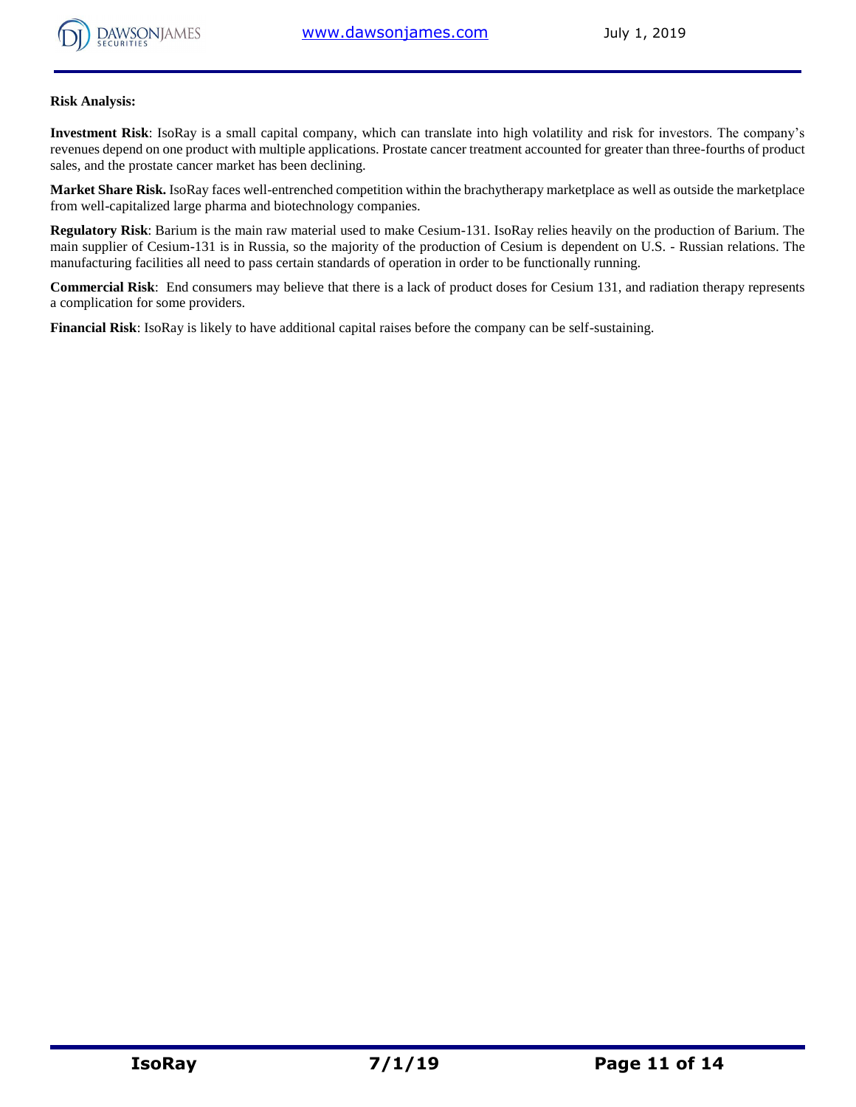

#### **Risk Analysis:**

**Investment Risk**: IsoRay is a small capital company, which can translate into high volatility and risk for investors. The company's revenues depend on one product with multiple applications. Prostate cancer treatment accounted for greater than three-fourths of product sales, and the prostate cancer market has been declining.

**Market Share Risk.** IsoRay faces well-entrenched competition within the brachytherapy marketplace as well as outside the marketplace from well-capitalized large pharma and biotechnology companies.

**Regulatory Risk**: Barium is the main raw material used to make Cesium-131. IsoRay relies heavily on the production of Barium. The main supplier of Cesium-131 is in Russia, so the majority of the production of Cesium is dependent on U.S. - Russian relations. The manufacturing facilities all need to pass certain standards of operation in order to be functionally running.

**Commercial Risk**: End consumers may believe that there is a lack of product doses for Cesium 131, and radiation therapy represents a complication for some providers.

**Financial Risk**: IsoRay is likely to have additional capital raises before the company can be self-sustaining.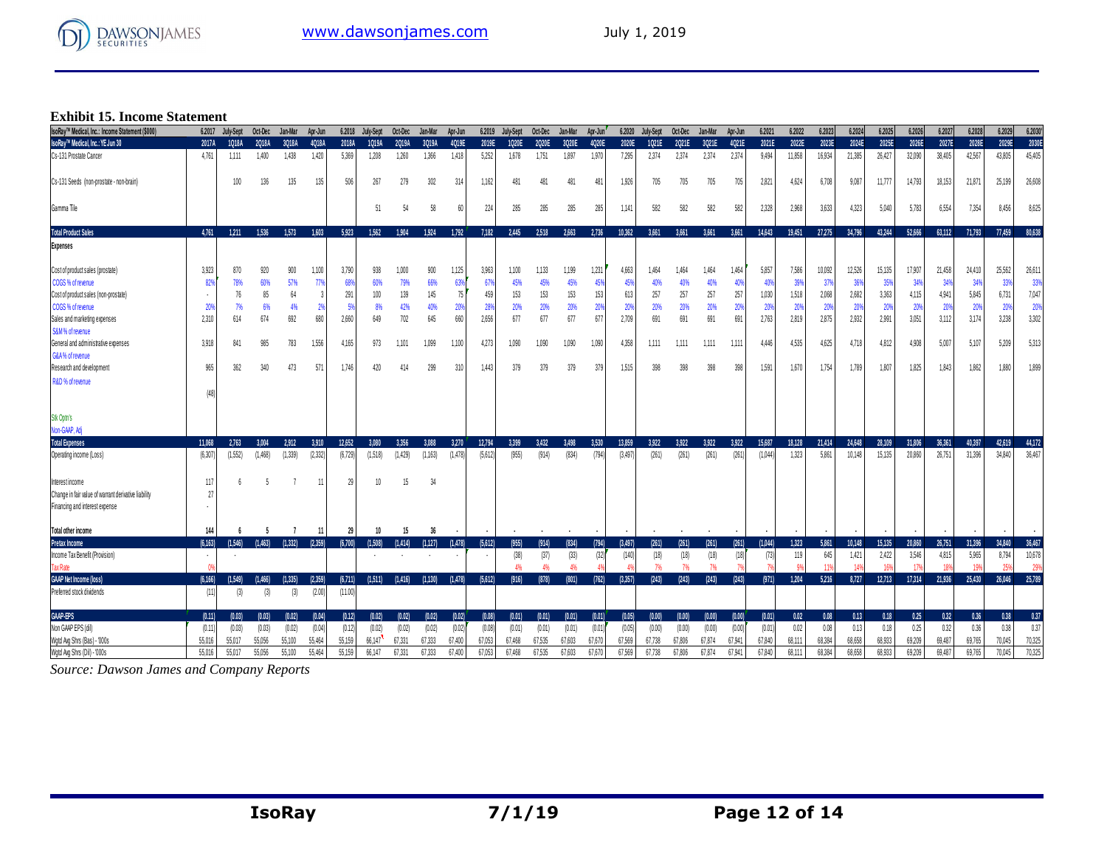

# **Exhibit 15. Income Statement**

| <b>Exhibit 15. Income Statement</b>                  |          |              |         |         |         |         |           |         |                          |                |         |           |         |         |         |         |           |         |         |         |         |        |        |        |        |        |                 |        |        |         |
|------------------------------------------------------|----------|--------------|---------|---------|---------|---------|-----------|---------|--------------------------|----------------|---------|-----------|---------|---------|---------|---------|-----------|---------|---------|---------|---------|--------|--------|--------|--------|--------|-----------------|--------|--------|---------|
| IsoRav™ Medical. Inc.: Income Statement (\$000)      | 6.2017   | July-Sept    | Oct-Dec | Jan-Mar | Apr-Jun | 6.2018  | July-Sept | Oct-Dec | Jan Mar                  | Apr-Jun        | 6.2019  | July-Sept | Oct-Dec | Jan-Mar | Apr-Jun | 6.2020  | July-Sept | Oct-Dec | Jan-Mar | Apr-Jun | 6.2021  | 6.2022 | 6.2023 | 6,2024 | 6.2025 | 6.2026 | 6,2027          | 6,2028 | 6.2029 | 6.2030' |
| IsoRay™ Medical, Inc.: YE Jun 30                     | 2017A    | <b>1018A</b> | 2018A   | 3018A   | 4018A   | 2018A   | 1019A     | 2019A   | 3019A                    | 4019E          | 2019E   | 1020E     | 2020E   | 3020E   | 4020E   | 2020E   | 1021E     | 2021E   | 3021E   | 4021E   | 2021E   | 2022E  | 2023E  | 2024E  | 2025E  | 2026E  | 2027E           | 2028E  | 2029E  | 2030E   |
| Cs-131 Prostate Cancer                               | 4.761    | 1.111        | 1,400   | 1.438   | 1.420   | 5.369   | 1.208     | 1.260   | 1.366                    | 1,418          | 5.252   | 1,678     | 1.751   | 1.897   | 1.970   | 7.295   | 2.374     | 2.374   | 2.374   | 2.374   | 9.494   | 11.858 | 16.934 | 21.385 | 26.427 | 32.090 | 38,405          | 42.567 | 43,805 | 45,405  |
| Cs-131 Seeds (non-prostate - non-brain)              |          | 100          | 136     | 135     | 135     | 506     | 267       | 279     | 302                      | 314            | 1,162   | 481       | 481     | 481     | 481     | 1,926   | 705       | 705     | 705     | 705     | 2,821   | 4,624  | 6,708  | 9,087  | 11,777 | 14,793 | 18,153          | 21,871 | 25,199 | 26,608  |
| Gamma Tile                                           |          |              |         |         |         |         | 51        | 54      | 58                       | 60             | 224     | 285       | 285     | 285     | 285     | 1.141   | 582       | 582     | 582     | 582     | 2,328   | 2,968  | 3,633  | 4,323  | 5,040  | 5,783  | 6,554           | 7,354  | 8,456  | 8,625   |
| <b>Total Product Sales</b>                           | 4.761    | 1.211        | 1.536   | 1.573   | 1.603   | 5.923   | 1.562     | 1.904   | 1.924                    | 1,792          | 7,182   | 2.445     | 2,518   | 2.663   | 2,736   | 10.362  | 3.661     | 3,661   | 3.661   | 3.661   | 14,643  | 19,451 | 27,275 | 34.796 | 43,244 | 52,666 | 63.112          | 71.793 | 77,459 | 80,638  |
| <b>Expenses</b>                                      |          |              |         |         |         |         |           |         |                          |                |         |           |         |         |         |         |           |         |         |         |         |        |        |        |        |        |                 |        |        |         |
| Cost of product sales (prostate)                     | 3,923    | 870          | 920     | 900     | 1,100   | 3,790   | 938       | 1.000   | 900                      | 1,125          | 3,963   | 1,100     | 1,133   | 1,199   | 1,231   | 4,663   | 1,464     | 1.464   | 1,464   | 1,464   | 5,857   | 7,586  | 10,092 | 12,526 | 15,135 | 17,907 | 21,458          | 24.410 | 25,562 | 26,611  |
| COGS % of revenue                                    | 829      | 78%          | 60%     | 57%     | 77%     | 68%     | 60%       | 79%     | 66%                      | 639            | 67%     | 45%       | 45%     | 45%     | 45%     | 45%     | 40%       | 40%     | 40%     | 409     | 40      | 39%    | 37%    | 36%    | 35%    | 34%    | 34 <sup>°</sup> | 349    | 339    | 33%     |
| Cost of product sales (non-prostate)                 |          | 76           | 85      | 64      | 3       | 291     | 100       | 139     | 145                      | 7              | 459     | 153       | 153     | 153     | 153     | 613     | 257       | 257     | 257     | 257     | 1,030   | 1,518  | 2,068  | 2.682  | 3,363  | 4,115  | 4,941           | 5,845  | 6.731  | 7,047   |
| COGS % of revenue                                    | 20%      | - 7%         | 6%      | 4%      |         | 5%      | 8%        | 42%     | 40%                      | 20             | 28%     | 20%       | 20%     | 20%     | 20%     | 20%     | 20%       | 20%     | 20%     | 209     | 20%     | 20%    | 20%    | 20%    | 20%    | 20%    | 20 <sup>o</sup> | 209    | 209    | 20%     |
| Sales and marketing expenses                         | 2,310    | 614          | 674     | 692     | 680     | 2,660   | 649       | 702     | 645                      | 660            | 2,656   | 677       | 677     | 677     | 677     | 2,709   | 691       | 691     | 691     | 691     | 2,763   | 2,819  | 2,875  | 2.932  | 2,991  | 3,051  | 3,112           | 3,174  | 3,238  | 3,302   |
| S&M% of revenue                                      |          |              |         |         |         |         |           |         |                          |                |         |           |         |         |         |         |           |         |         |         |         |        |        |        |        |        |                 |        |        |         |
| General and administrative expenses                  | 3.918    | 841          | 985     | 783     | 1,556   | 4,165   | 973       | 1,101   | 1,099                    | 1,100          | 4,273   | 1,090     | 1,090   | 1,090   | 1,090   | 4.358   | 1.111     | 1.111   | 1.111   | 1.111   | 4.446   | 4,535  | 4,625  | 4.718  | 4,812  | 4,908  | 5,007           | 5.107  | 5,209  | 5,313   |
| G&A% of revenue                                      |          |              |         |         |         |         |           |         |                          |                |         |           |         |         |         |         |           |         |         |         |         |        |        |        |        |        |                 |        |        |         |
| Research and development                             | 965      | 362          | 340     | 473     | 571     | 1.746   | 420       | 414     | 299                      | 310            | 1,443   | 379       | 379     | 379     | 379     | 1.515   | 398       | 398     | 398     | 398     | 1,591   | 1.670  | 1.754  | 1.789  | 1.807  | 1.825  | 1.843           | 1.862  | 1.880  | 1,899   |
| R&D % of revenue                                     |          |              |         |         |         |         |           |         |                          |                |         |           |         |         |         |         |           |         |         |         |         |        |        |        |        |        |                 |        |        |         |
|                                                      | (48)     |              |         |         |         |         |           |         |                          |                |         |           |         |         |         |         |           |         |         |         |         |        |        |        |        |        |                 |        |        |         |
| Stk Optn's                                           |          |              |         |         |         |         |           |         |                          |                |         |           |         |         |         |         |           |         |         |         |         |        |        |        |        |        |                 |        |        |         |
| Non-GAAP, Adj                                        |          |              |         |         |         |         |           |         |                          |                |         |           |         |         |         |         |           |         |         |         |         |        |        |        |        |        |                 |        |        |         |
| <b>Total Expenses</b>                                | 11.068   | 2.763        | 3.004   | 2.912   | 3.910   | 12,652  | 3.080     | 3.356   | 3.088                    | 3,270          | 12,794  | 3.399     | 3,432   | 3.498   | 3.530   | 13,859  | 3.922     | 3.922   | 3.922   | 3.922   | 15,687  | 18,128 | 21,414 | 24.648 | 28,109 | 31,806 | 36,361          | 40.397 | 42,619 | 44,172  |
| Operating income (Loss)                              | (6, 307) | (1.552)      | (1,468) | (1.339) | (2.332) | (6,729) | (1,518)   | (1.429) | (1, 163)                 | (1.478)        | (5,612) | (955)     | (914)   | (834)   | (794)   | (3.497) | (261)     | (261)   | (261)   | (261)   | (1.044) | 1.323  | 5.861  | 10.148 | 15.135 | 20.860 | 26.751          | 31.396 | 34.840 | 36.467  |
| Interest income                                      | 117      | ĥ            |         |         |         | 29      | $10$      | 15      | 34                       |                |         |           |         |         |         |         |           |         |         |         |         |        |        |        |        |        |                 |        |        |         |
| Change in fair value of warrant derivative liability | 27       |              |         |         |         |         |           |         |                          |                |         |           |         |         |         |         |           |         |         |         |         |        |        |        |        |        |                 |        |        |         |
| Financing and interest expense                       |          |              |         |         |         |         |           |         |                          |                |         |           |         |         |         |         |           |         |         |         |         |        |        |        |        |        |                 |        |        |         |
| Total other income                                   | 144      |              |         |         |         | 29      | 10        | 15      | 36                       |                |         |           |         |         |         |         |           |         |         |         |         |        |        |        |        |        |                 |        |        |         |
| Pretax Income                                        | (6.163)  | (1.546)      | (1.463) | (1.332) | (2.359) | (6,700) | (1.508)   | (1,414) | (1, 127)                 | (1.478)        | (5,612) | (955)     | (914)   | (834)   | (794)   | (3.497) | (261)     | (261)   | (261)   | (261)   | (1.044) | 1,323  | 5,861  | 10,148 | 15,135 | 20,860 | 26,751          | 31,396 | 34,840 | 36,467  |
| Income Tax Benefit (Provision)                       |          |              |         |         |         |         |           |         | $\overline{\phantom{a}}$ | $\blacksquare$ |         | (38)      | (37)    | (33)    | (32)    | (140)   | (18)      | (18)    | (18)    | (18)    | (73)    | 119    | 645    | 1.421  | 2.422  | 3.546  | 4,815           | 5.965  | 8.794  | 10,678  |
| <b>Tax Rate</b>                                      |          |              |         |         |         |         |           |         |                          |                |         | 4%        | 4%      | 4%      |         |         | 7%        | 7%      | 7%      |         |         |        |        | 14%    |        |        |                 |        | 259    | 29%     |
| <b>GAAP Net Income (loss)</b>                        | (6, 166) | (1.549)      | (1.466) | (1.335) | (2.359) | (6,711) | (1.511)   | (1.416) | (1.130)                  | (1.478)        | (5.612) | (916)     | (878)   | (801)   | (762)   | (3,357) | (243)     | (243)   | (243)   | (243)   | (971)   | 1,204  | 5,216  | 8,727  | 12,713 | 17,314 | 21,936          | 25,430 | 26,046 | 25,789  |
| Preferred stock dividends                            | (11)     | (3)          | (3)     | (3)     | (2.00)  | (11.00) |           |         |                          |                |         |           |         |         |         |         |           |         |         |         |         |        |        |        |        |        |                 |        |        |         |
| <b>GAAP EPS</b>                                      | (0.11)   | (0.03)       | (0.03)  | (0.02)  | (0.04)  | (0.12)  | (0.02)    | (0.02)  | (0.02)                   | (0.02)         | (0.08)  | (0.01)    | (0.01)  | (0.01)  | (0.01)  | (0.05)  | (0.00)    | (0.00)  | (0.00)  | (0.00)  | (0.01)  | 0.02   | 0.08   | 0.13   | 0.18   | 0.25   | 0.32            | 0.36   | 0.38   | 0.37    |
| Non GAAP EPS (dil)                                   | (0.11)   | (0.03)       | (0.03)  | (0.02)  | (0.04)  | (0.12)  | (0.02)    | (0.02)  | (0.02)                   | (0.02)         | (0.08)  | (0.01)    | (0.01)  | (0.01)  | (0.01)  | (0.05)  | (0.00)    | (0.00)  | (0.00)  | (0.00)  | (0.01)  | 0.02   | 0.08   | 0.13   | 0.18   | 0.25   | 0.32            | 0.36   | 0.38   | 0.37    |
| Wgtd Avg Shrs (Bas) - '000s                          | 55,016   | 55.017       | 55,056  | 55.100  | 55.464  | 55.159  | 66,147    | 67,331  | 67,333                   | 67,400         | 67,053  | 67,468    | 67,535  | 67,603  | 67.670  | 67,569  | 67,738    | 67,806  | 67.874  | 67,941  | 67,840  | 68,111 | 68.384 | 68,658 | 68,933 | 69,209 | 69,487          | 69,765 | 70,045 | 70,325  |
| Wgtd Avg Shrs (Dil) - '000s                          | 55,016   | 55,017       | 55.056  | 55.100  | 55.464  | 55.159  | 66.147    | 67.331  | 67,333                   | 67,400         | 67.053  | 67.468    | 67.535  | 67.603  | 67.670  | 67,569  | 67.738    | 67.806  | 67.874  | 67.941  | 67.840  | 68,111 | 68.384 | 68.658 | 68,933 | 69.209 | 69,487          | 69.765 | 70,045 | 70,325  |
|                                                      |          |              |         |         |         |         |           |         |                          |                |         |           |         |         |         |         |           |         |         |         |         |        |        |        |        |        |                 |        |        |         |

**Source: Dawson James and Company Reports**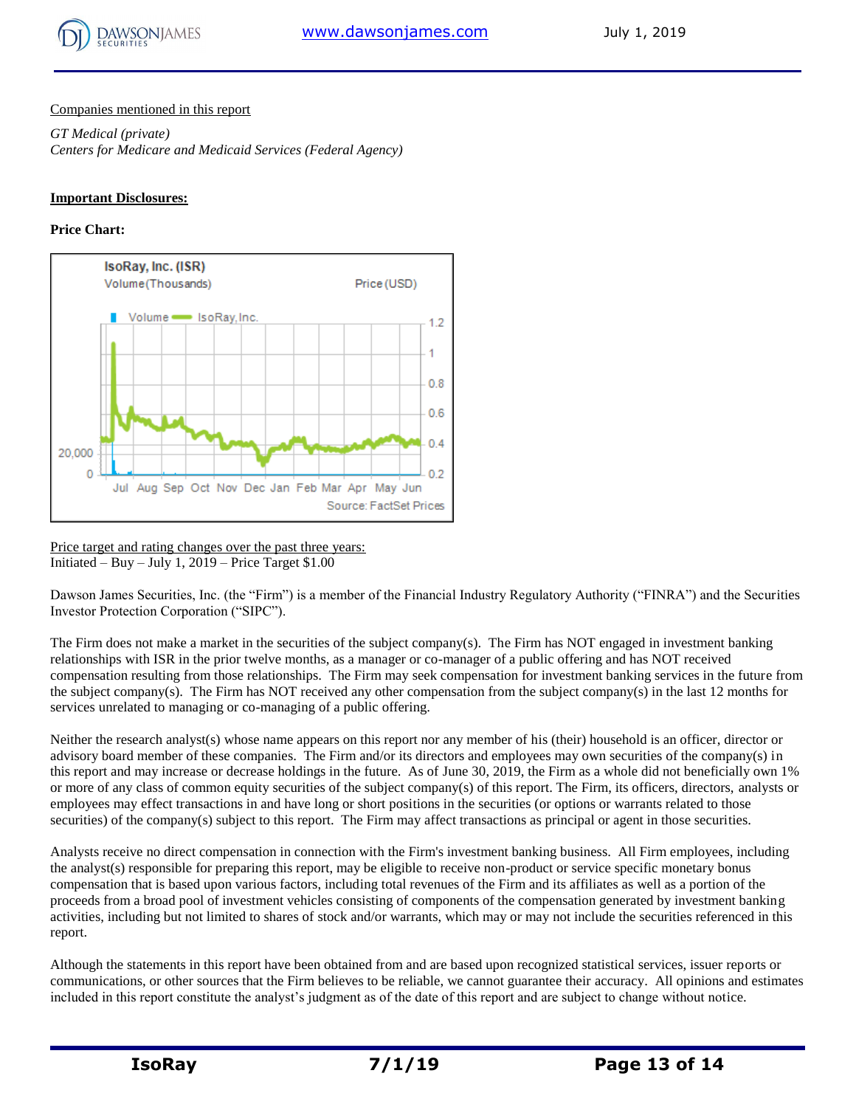

#### Companies mentioned in this report

*GT Medical (private) Centers for Medicare and Medicaid Services (Federal Agency)*

#### **Important Disclosures:**

#### **Price Chart:**



Price target and rating changes over the past three years: Initiated – Buy – July 1,  $2019$  – Price Target \$1.00

Dawson James Securities, Inc. (the "Firm") is a member of the Financial Industry Regulatory Authority ("FINRA") and the Securities Investor Protection Corporation ("SIPC").

The Firm does not make a market in the securities of the subject company(s). The Firm has NOT engaged in investment banking relationships with ISR in the prior twelve months, as a manager or co-manager of a public offering and has NOT received compensation resulting from those relationships. The Firm may seek compensation for investment banking services in the future from the subject company(s). The Firm has NOT received any other compensation from the subject company(s) in the last 12 months for services unrelated to managing or co-managing of a public offering.

Neither the research analyst(s) whose name appears on this report nor any member of his (their) household is an officer, director or advisory board member of these companies. The Firm and/or its directors and employees may own securities of the company(s) in this report and may increase or decrease holdings in the future. As of June 30, 2019, the Firm as a whole did not beneficially own 1% or more of any class of common equity securities of the subject company(s) of this report. The Firm, its officers, directors, analysts or employees may effect transactions in and have long or short positions in the securities (or options or warrants related to those securities) of the company(s) subject to this report. The Firm may affect transactions as principal or agent in those securities.

Analysts receive no direct compensation in connection with the Firm's investment banking business. All Firm employees, including the analyst(s) responsible for preparing this report, may be eligible to receive non-product or service specific monetary bonus compensation that is based upon various factors, including total revenues of the Firm and its affiliates as well as a portion of the proceeds from a broad pool of investment vehicles consisting of components of the compensation generated by investment banking activities, including but not limited to shares of stock and/or warrants, which may or may not include the securities referenced in this report.

Although the statements in this report have been obtained from and are based upon recognized statistical services, issuer reports or communications, or other sources that the Firm believes to be reliable, we cannot guarantee their accuracy. All opinions and estimates included in this report constitute the analyst's judgment as of the date of this report and are subject to change without notice.